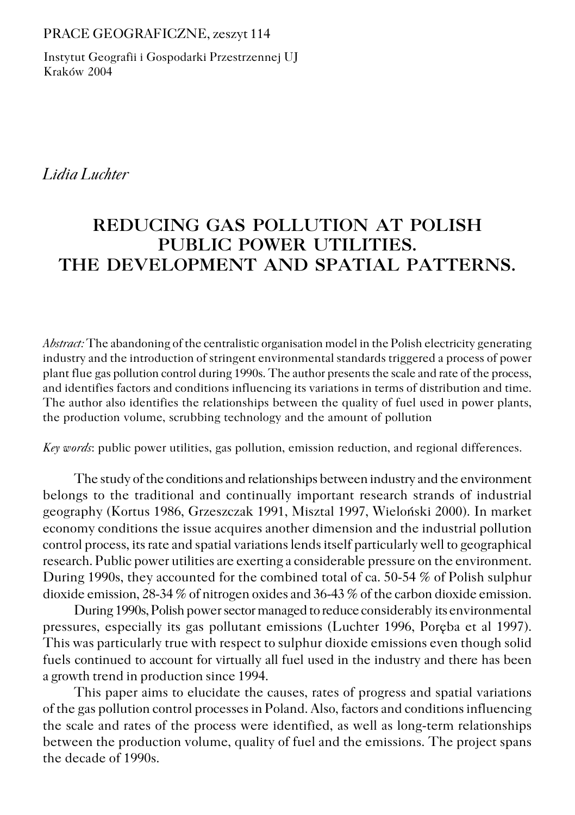#### PRACE GEOGRAFICZNE, zeszyt 114

Instytut Geografii i Gospodarki Przestrzennej UJ Kraków 2004

*Lidia Luchter*

# **REDUCING GAS POLLUTION AT POLISH PUBLIC POWER UTILITIES. THE DEVELOPMENT AND SPATIAL PATTERNS.**

*Abstract:* The abandoning of the centralistic organisation model in the Polish electricity generating industry and the introduction of stringent environmental standards triggered a process of power plant flue gas pollution control during 1990s. The author presents the scale and rate of the process, and identifies factors and conditions influencing its variations in terms of distribution and time. The author also identifies the relationships between the quality of fuel used in power plants, the production volume, scrubbing technology and the amount of pollution

*Key words*: public power utilities, gas pollution, emission reduction, and regional differences.

The study of the conditions and relationships between industry and the environment belongs to the traditional and continually important research strands of industrial geography (Kortus 1986, Grzeszczak 1991, Misztal 1997, Wieloński 2000). In market economy conditions the issue acquires another dimension and the industrial pollution control process, its rate and spatial variations lends itself particularly well to geographical research. Public power utilities are exerting a considerable pressure on the environment. During 1990s, they accounted for the combined total of ca. 50−54 % of Polish sulphur dioxide emission, 28−34 % of nitrogen oxides and 36−43 % of the carbon dioxide emission.

During 1990s, Polish power sector managed to reduce considerably its environmental pressures, especially its gas pollutant emissions (Luchter 1996, Poręba et al 1997). This was particularly true with respect to sulphur dioxide emissions even though solid fuels continued to account for virtually all fuel used in the industry and there has been a growth trend in production since 1994.

This paper aims to elucidate the causes, rates of progress and spatial variations of the gas pollution control processes in Poland. Also, factors and conditions influencing the scale and rates of the process were identified, as well as long−term relationships between the production volume, quality of fuel and the emissions. The project spans the decade of 1990s.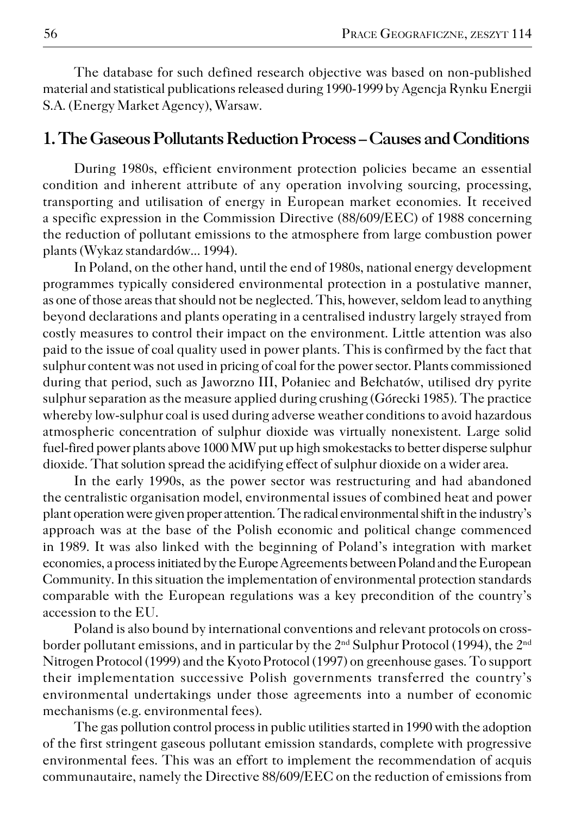The database for such defined research objective was based on non−published material and statistical publications released during 1990−1999 by Agencja Rynku Energii S.A. (Energy Market Agency), Warsaw.

#### **1. The Gaseous Pollutants Reduction Process – Causes and Conditions**

During 1980s, efficient environment protection policies became an essential condition and inherent attribute of any operation involving sourcing, processing, transporting and utilisation of energy in European market economies. It received a specific expression in the Commission Directive (88/609/EEC) of 1988 concerning the reduction of pollutant emissions to the atmosphere from large combustion power plants (Wykaz standardów... 1994).

In Poland, on the other hand, until the end of 1980s, national energy development programmes typically considered environmental protection in a postulative manner, as one of those areas that should not be neglected. This, however, seldom lead to anything beyond declarations and plants operating in a centralised industry largely strayed from costly measures to control their impact on the environment. Little attention was also paid to the issue of coal quality used in power plants. This is confirmed by the fact that sulphur content was not used in pricing of coal for the power sector. Plants commissioned during that period, such as Jaworzno III, Połaniec and Bełchatów, utilised dry pyrite sulphur separation as the measure applied during crushing (Górecki 1985). The practice whereby low−sulphur coal is used during adverse weather conditions to avoid hazardous atmospheric concentration of sulphur dioxide was virtually nonexistent. Large solid fuel−fired power plants above 1000 MW put up high smokestacks to better disperse sulphur dioxide. That solution spread the acidifying effect of sulphur dioxide on a wider area.

In the early 1990s, as the power sector was restructuring and had abandoned the centralistic organisation model, environmental issues of combined heat and power plant operation were given proper attention. The radical environmental shift in the industry's approach was at the base of the Polish economic and political change commenced in 1989. It was also linked with the beginning of Poland's integration with market economies, a process initiated by the Europe Agreements between Poland and the European Community. In this situation the implementation of environmental protection standards comparable with the European regulations was a key precondition of the country's accession to the EU.

Poland is also bound by international conventions and relevant protocols on cross− border pollutant emissions, and in particular by the  $2<sup>nd</sup>$  Sulphur Protocol (1994), the  $2<sup>nd</sup>$ Nitrogen Protocol (1999) and the Kyoto Protocol (1997) on greenhouse gases. To support their implementation successive Polish governments transferred the country's environmental undertakings under those agreements into a number of economic mechanisms (e.g. environmental fees).

The gas pollution control process in public utilities started in 1990 with the adoption of the first stringent gaseous pollutant emission standards, complete with progressive environmental fees. This was an effort to implement the recommendation of acquis communautaire, namely the Directive 88/609/EEC on the reduction of emissions from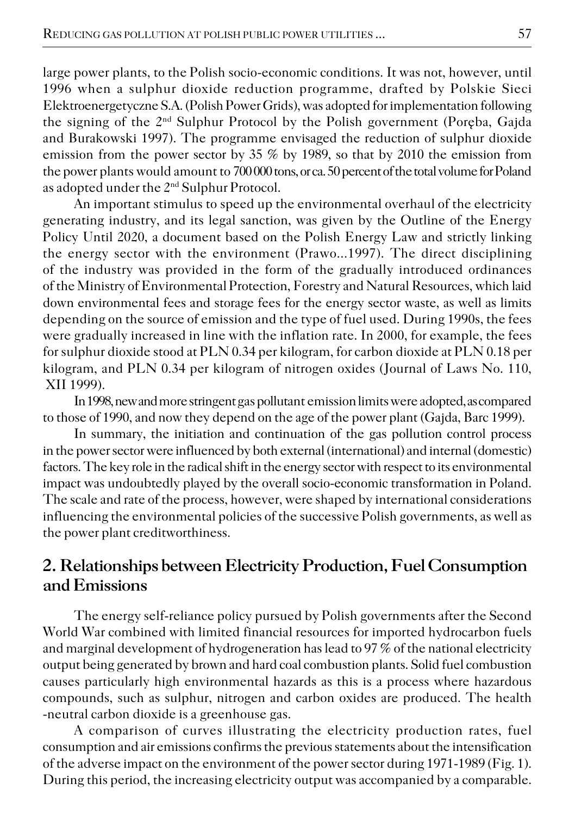large power plants, to the Polish socio−economic conditions. It was not, however, until 1996 when a sulphur dioxide reduction programme, drafted by Polskie Sieci Elektroenergetyczne S.A. (Polish Power Grids), was adopted for implementation following the signing of the 2nd Sulphur Protocol by the Polish government (Poręba, Gajda and Burakowski 1997). The programme envisaged the reduction of sulphur dioxide emission from the power sector by 35 % by 1989, so that by 2010 the emission from the power plants would amount to 700 000 tons, or ca. 50 percent of the total volume for Poland as adopted under the 2nd Sulphur Protocol.

An important stimulus to speed up the environmental overhaul of the electricity generating industry, and its legal sanction, was given by the Outline of the Energy Policy Until 2020, a document based on the Polish Energy Law and strictly linking the energy sector with the environment (Prawo...1997). The direct disciplining of the industry was provided in the form of the gradually introduced ordinances of the Ministry of Environmental Protection, Forestry and Natural Resources, which laid down environmental fees and storage fees for the energy sector waste, as well as limits depending on the source of emission and the type of fuel used. During 1990s, the fees were gradually increased in line with the inflation rate. In 2000, for example, the fees for sulphur dioxide stood at PLN 0.34 per kilogram, for carbon dioxide at PLN 0.18 per kilogram, and PLN 0.34 per kilogram of nitrogen oxides (Journal of Laws No. 110, XII 1999).

In 1998, new and more stringent gas pollutant emission limits were adopted, as compared to those of 1990, and now they depend on the age of the power plant (Gajda, Barc 1999).

In summary, the initiation and continuation of the gas pollution control process in the power sector were influenced by both external (international) and internal (domestic) factors. The key role in the radical shift in the energy sector with respect to its environmental impact was undoubtedly played by the overall socio−economic transformation in Poland. The scale and rate of the process, however, were shaped by international considerations influencing the environmental policies of the successive Polish governments, as well as the power plant creditworthiness.

## **2. Relationships between Electricity Production, Fuel Consumption and Emissions**

The energy self−reliance policy pursued by Polish governments after the Second World War combined with limited financial resources for imported hydrocarbon fuels and marginal development of hydrogeneration has lead to 97 % of the national electricity output being generated by brown and hard coal combustion plants. Solid fuel combustion causes particularly high environmental hazards as this is a process where hazardous compounds, such as sulphur, nitrogen and carbon oxides are produced. The health −neutral carbon dioxide is a greenhouse gas.

A comparison of curves illustrating the electricity production rates, fuel consumption and air emissions confirms the previous statements about the intensification of the adverse impact on the environment of the power sector during 1971−1989 (Fig. 1). During this period, the increasing electricity output was accompanied by a comparable.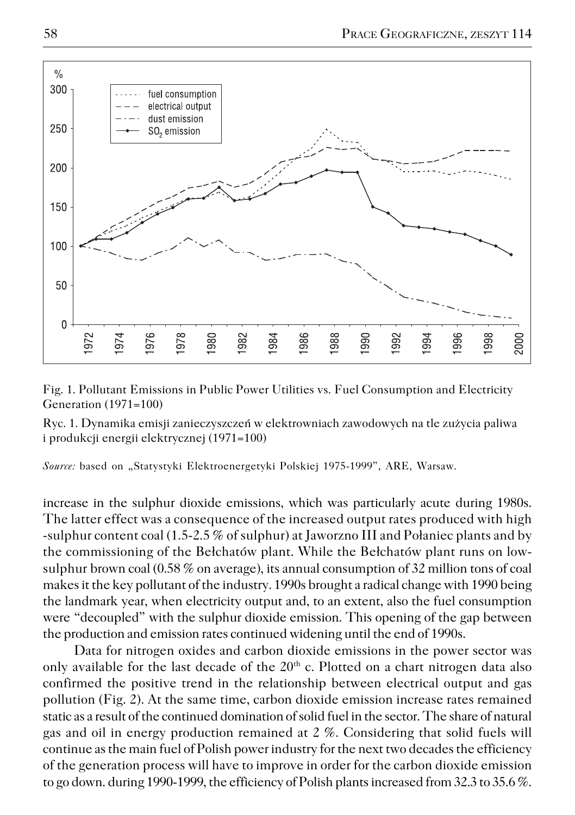

Fig. 1. Pollutant Emissions in Public Power Utilities vs. Fuel Consumption and Electricity Generation (1971=100)

Ryc. 1. Dynamika emisji zanieczyszczeń w elektrowniach zawodowych na tle zużycia paliwa i produkcji energii elektrycznej (1971=100)

*Source:* based on "Statystyki Elektroenergetyki Polskiej 1975−1999", ARE, Warsaw.

increase in the sulphur dioxide emissions, which was particularly acute during 1980s. The latter effect was a consequence of the increased output rates produced with high −sulphur content coal (1.5−2.5 % of sulphur) at Jaworzno III and Połaniec plants and by the commissioning of the Bełchatów plant. While the Bełchatów plant runs on low− sulphur brown coal (0.58 % on average), its annual consumption of 32 million tons of coal makes it the key pollutant of the industry. 1990s brought a radical change with 1990 being the landmark year, when electricity output and, to an extent, also the fuel consumption were "decoupled" with the sulphur dioxide emission. This opening of the gap between the production and emission rates continued widening until the end of 1990s.

Data for nitrogen oxides and carbon dioxide emissions in the power sector was only available for the last decade of the  $20<sup>th</sup>$  c. Plotted on a chart nitrogen data also confirmed the positive trend in the relationship between electrical output and gas pollution (Fig. 2). At the same time, carbon dioxide emission increase rates remained static as a result of the continued domination of solid fuel in the sector. The share of natural gas and oil in energy production remained at 2 %. Considering that solid fuels will continue as the main fuel of Polish power industry for the next two decades the efficiency of the generation process will have to improve in order for the carbon dioxide emission to go down. during 1990−1999, the efficiency of Polish plants increased from 32.3 to 35.6 %.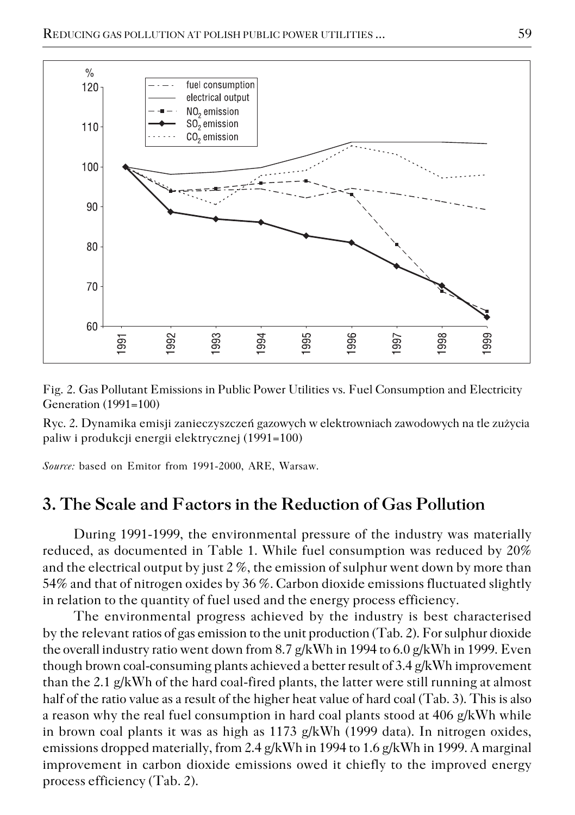

Fig. 2. Gas Pollutant Emissions in Public Power Utilities vs. Fuel Consumption and Electricity Generation (1991=100)

Ryc. 2. Dynamika emisji zanieczyszczeń gazowych w elektrowniach zawodowych na tle zużycia paliw i produkcji energii elektrycznej (1991=100)

*Source:* based on Emitor from 1991−2000, ARE, Warsaw.

### **3. The Scale and Factors in the Reduction of Gas Pollution**

During 1991−1999, the environmental pressure of the industry was materially reduced, as documented in Table 1. While fuel consumption was reduced by 20% and the electrical output by just 2 %, the emission of sulphur went down by more than 54% and that of nitrogen oxides by 36 %. Carbon dioxide emissions fluctuated slightly in relation to the quantity of fuel used and the energy process efficiency.

The environmental progress achieved by the industry is best characterised by the relevant ratios of gas emission to the unit production (Tab. 2). For sulphur dioxide the overall industry ratio went down from 8.7 g/kWh in 1994 to 6.0 g/kWh in 1999. Even though brown coal−consuming plants achieved a better result of 3.4 g/kWh improvement than the 2.1 g/kWh of the hard coal−fired plants, the latter were still running at almost half of the ratio value as a result of the higher heat value of hard coal (Tab. 3). This is also a reason why the real fuel consumption in hard coal plants stood at 406 g/kWh while in brown coal plants it was as high as 1173 g/kWh (1999 data). In nitrogen oxides, emissions dropped materially, from 2.4 g/kWh in 1994 to 1.6 g/kWh in 1999. A marginal improvement in carbon dioxide emissions owed it chiefly to the improved energy process efficiency (Tab. 2).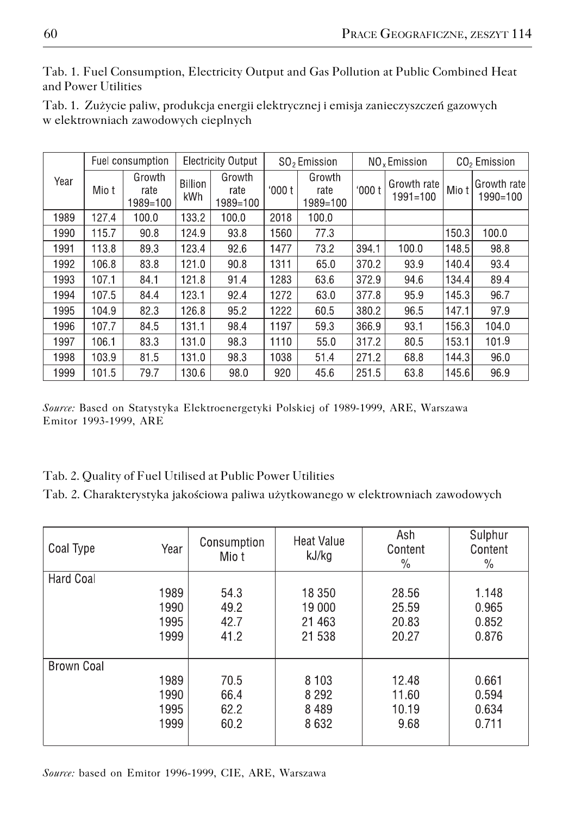Tab. 1. Fuel Consumption, Electricity Output and Gas Pollution at Public Combined Heat and Power Utilities

|  | Tab. 1. Zużycie paliw, produkcja energii elektrycznej i emisja zanieczyszczeń gazowych |  |  |  |
|--|----------------------------------------------------------------------------------------|--|--|--|
|  | w elektrowniach zawodowych cieplnych                                                   |  |  |  |

|      | Fuel consumption |                            | <b>Electricity Output</b> |                            | SO <sub>2</sub> Emission |                            | NO <sub>x</sub> Emission |                             | CO <sub>2</sub> Emission |                          |
|------|------------------|----------------------------|---------------------------|----------------------------|--------------------------|----------------------------|--------------------------|-----------------------------|--------------------------|--------------------------|
| Year | Mio t            | Growth<br>rate<br>1989=100 | <b>Billion</b><br>kWh     | Growth<br>rate<br>1989=100 | 000t                     | Growth<br>rate<br>1989=100 | 000t                     | Growth rate<br>$1991 = 100$ | Mio t                    | Growth rate <br>1990=100 |
| 1989 | 127.4            | 100.0                      | 133.2                     | 100.0                      | 2018                     | 100.0                      |                          |                             |                          |                          |
| 1990 | 115.7            | 90.8                       | 124.9                     | 93.8                       | 1560                     | 77.3                       |                          |                             | 150.3                    | 100.0                    |
| 1991 | 113.8            | 893                        | 123.4                     | 92.6                       | 1477                     | 73.2                       | 394.1                    | 100.0                       | 148.5                    | 98.8                     |
| 1992 | 106.8            | 838                        | 121.0                     | 90.8                       | 1311                     | 65.0                       | 370.2                    | 939                         | 140.4                    | 934                      |
| 1993 | 107.1            | 84.1                       | 121.8                     | 91.4                       | 1283                     | 63.6                       | 372.9                    | 94.6                        | 134.4                    | 89.4                     |
| 1994 | 107.5            | 84.4                       | 123.1                     | 92.4                       | 1272                     | 63.0                       | 377.8                    | 95.9                        | 145.3                    | 96.7                     |
| 1995 | 104.9            | 82.3                       | 126.8                     | 95.2                       | 1222                     | 60.5                       | 380.2                    | 96.5                        | 147.1                    | 97.9                     |
| 1996 | 107.7            | 845                        | 131.1                     | 98.4                       | 1197                     | 593                        | 366.9                    | 93.1                        | 1563                     | 104.0                    |
| 1997 | 106.1            | 83.3                       | 131.0                     | 98.3                       | 1110                     | 55.0                       | 317.2                    | 80.5                        | 153.1                    | 101.9                    |
| 1998 | 103.9            | 81.5                       | 131.0                     | 98.3                       | 1038                     | 51.4                       | 271.2                    | 68.8                        | 144.3                    | 96.0                     |
| 1999 | 101.5            | 79.7                       | 130.6                     | 98.0                       | 920                      | 45.6                       | 251.5                    | 63.8                        | 145.6                    | 96.9                     |

*Source:* Based on Statystyka Elektroenergetyki Polskiej of 1989−1999, ARE, Warszawa Emitor 1993−1999, ARE

Tab. 2. Quality of Fuel Utilised at Public Power Utilities

Tab. 2. Charakterystyka jakościowa paliwa użytkowanego w elektrowniach zawodowych

| Coal Type  | Year | Consumption<br>Mio t | Heat Value<br>kJ/kg | Ash<br>Content<br>$\%$ | Sulphur<br>Content<br>$\%$ |
|------------|------|----------------------|---------------------|------------------------|----------------------------|
| Hard Coal  | 1989 | 54.3                 | 18 350              | 28.56                  | 1.148                      |
|            | 1990 | 49.2                 | 19 000              | 25.59                  | 0.965                      |
|            | 1995 | 42.7                 | 21 4 63             | 20.83                  | 0.852                      |
|            | 1999 | 41.2                 | 21 538              | 20.27                  | 0.876                      |
| Brown Coal | 1989 | 70.5                 | 8 1 0 3             | 12.48                  | 0.661                      |
|            | 1990 | 66.4                 | 8 2 9 2             | 11.60                  | 0.594                      |
|            | 1995 | 62.2                 | 8489                | 10.19                  | 0.634                      |
|            | 1999 | 60.2                 | 8632                | 9.68                   | 0.711                      |

*Source:* based on Emitor 1996−1999, CIE, ARE, Warszawa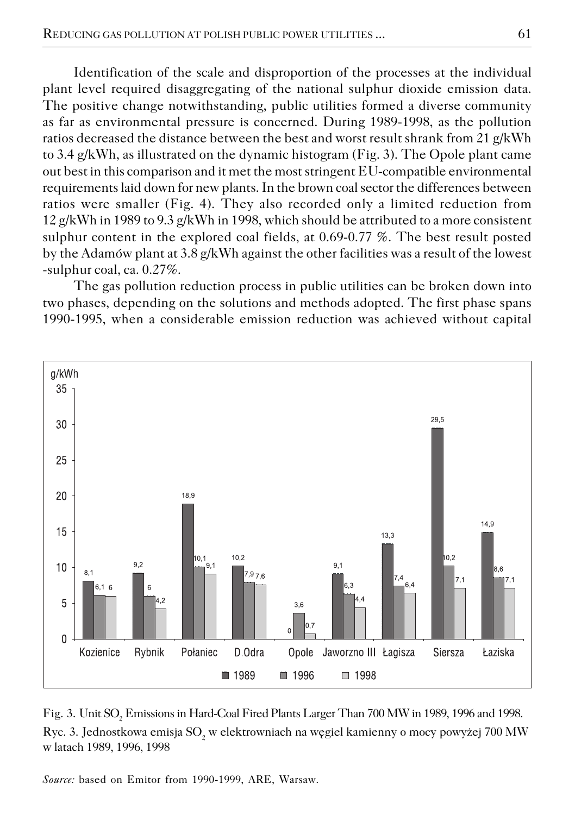Identification of the scale and disproportion of the processes at the individual plant level required disaggregating of the national sulphur dioxide emission data. The positive change notwithstanding, public utilities formed a diverse community as far as environmental pressure is concerned. During 1989−1998, as the pollution ratios decreased the distance between the best and worst result shrank from 21 g/kWh to 3.4 g/kWh, as illustrated on the dynamic histogram (Fig. 3). The Opole plant came out best in this comparison and it met the most stringent EU−compatible environmental requirements laid down for new plants. In the brown coal sector the differences between ratios were smaller (Fig. 4). They also recorded only a limited reduction from 12 g/kWh in 1989 to 9.3 g/kWh in 1998, which should be attributed to a more consistent sulphur content in the explored coal fields, at 0.69−0.77 %. The best result posted by the Adamów plant at 3.8 g/kWh against the other facilities was a result of the lowest −sulphur coal, ca. 0.27%.

The gas pollution reduction process in public utilities can be broken down into two phases, depending on the solutions and methods adopted. The first phase spans 1990−1995, when a considerable emission reduction was achieved without capital



Fig. 3. Unit  $\mathrm{SO}_2$  Emissions in Hard-Coal Fired Plants Larger Than 700 MW in 1989, 1996 and 1998. Ryc. 3. Jednostkowa emisja SO $_2$  w elektrowniach na węgiel kamienny o mocy powyżej 700 MW w latach 1989, 1996, 1998

*Source:* based on Emitor from 1990−1999, ARE, Warsaw.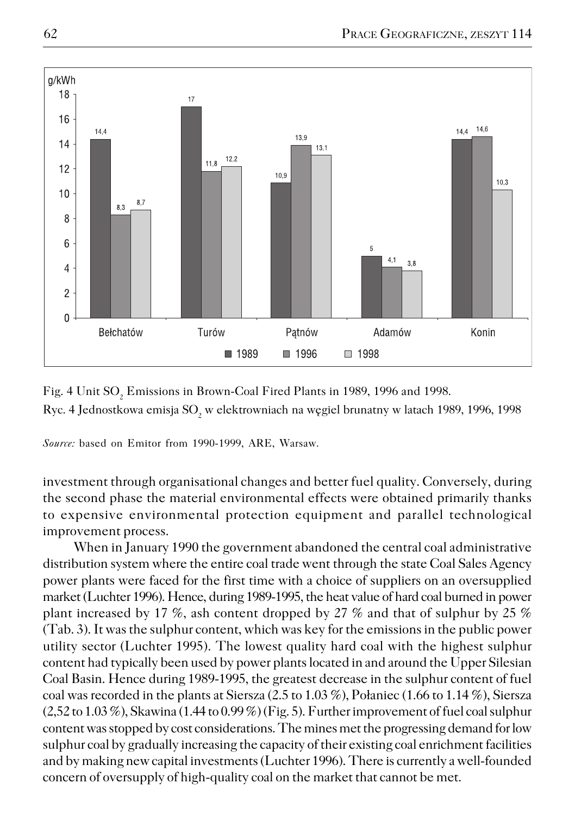

Fig. 4 Unit  $\mathrm{SO}_2$  Emissions in Brown-Coal Fired Plants in 1989, 1996 and 1998. Ryc. 4 Jednostkowa emisja SO<sub>2</sub> w elektrowniach na węgiel brunatny w latach 1989, 1996, 1998

*Source:* based on Emitor from 1990−1999, ARE, Warsaw.

investment through organisational changes and better fuel quality. Conversely, during the second phase the material environmental effects were obtained primarily thanks to expensive environmental protection equipment and parallel technological improvement process.

When in January 1990 the government abandoned the central coal administrative distribution system where the entire coal trade went through the state Coal Sales Agency power plants were faced for the first time with a choice of suppliers on an oversupplied market (Luchter 1996). Hence, during 1989−1995, the heat value of hard coal burned in power plant increased by 17 %, ash content dropped by 27 % and that of sulphur by 25 % (Tab. 3). It was the sulphur content, which was key for the emissions in the public power utility sector (Luchter 1995). The lowest quality hard coal with the highest sulphur content had typically been used by power plants located in and around the Upper Silesian Coal Basin. Hence during 1989−1995, the greatest decrease in the sulphur content of fuel coal was recorded in the plants at Siersza (2.5 to  $1.03\%$ ), Połaniec (1.66 to 1.14 %), Siersza  $(2,52 \text{ to } 1.03 \%)$ , Skawina  $(1.44 \text{ to } 0.99 \%)$  (Fig. 5). Further improvement of fuel coal sulphur content was stopped by cost considerations. The mines met the progressing demand for low sulphur coal by gradually increasing the capacity of their existing coal enrichment facilities and by making new capital investments (Luchter 1996). There is currently a well−founded concern of oversupply of high−quality coal on the market that cannot be met.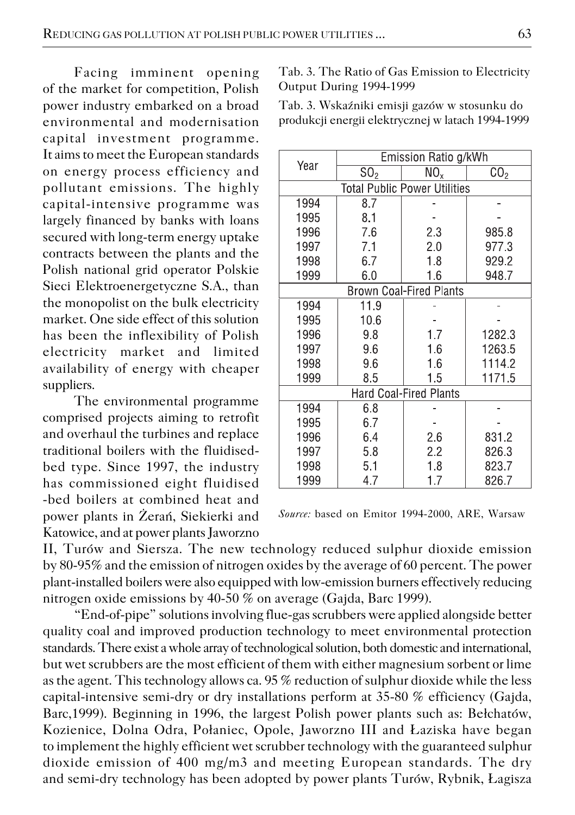Facing imminent opening of the market for competition, Polish power industry embarked on a broad environmental and modernisation capital investment programme. It aims to meet the European standards on energy process efficiency and pollutant emissions. The highly capital−intensive programme was largely financed by banks with loans secured with long−term energy uptake contracts between the plants and the Polish national grid operator Polskie Sieci Elektroenergetyczne S.A., than the monopolist on the bulk electricity market. One side effect of this solution has been the inflexibility of Polish electricity market and limited availability of energy with cheaper suppliers.

The environmental programme comprised projects aiming to retrofit and overhaul the turbines and replace traditional boilers with the fluidised− bed type. Since 1997, the industry has commissioned eight fluidised −bed boilers at combined heat and power plants in Żerań, Siekierki and Katowice, and at power plants Jaworzno Tab. 3. The Ratio of Gas Emission to Electricity Output During 1994−1999

Tab. 3. Wskaźniki emisji gazów w stosunku do produkcji energii elektrycznej w latach 1994−1999

|                               | Emission Ratio g/kWh |                                |                   |  |  |  |
|-------------------------------|----------------------|--------------------------------|-------------------|--|--|--|
| Year                          | SO <sub>2</sub>      | NO <sub>x</sub>                | $\overline{C}O_2$ |  |  |  |
| Total Public Power Utilities  |                      |                                |                   |  |  |  |
| 1994                          | 8.7                  |                                |                   |  |  |  |
| 1995                          | 8.1                  |                                |                   |  |  |  |
| 1996                          | 7.6                  | 2.3                            | 985.8             |  |  |  |
| 1997                          | 7.1                  | 2.0                            | 977.3             |  |  |  |
| 1998                          | 6.7                  | 1.8                            | 929.2             |  |  |  |
| 1999                          | 6.0                  | 1.6                            | 948.7             |  |  |  |
|                               |                      | <b>Brown Coal-Fired Plants</b> |                   |  |  |  |
| 1994                          | 11.9                 |                                |                   |  |  |  |
| 1995                          | 10.6                 |                                |                   |  |  |  |
| 1996                          | 9.8                  | 1.7                            | 1282.3            |  |  |  |
| 1997                          | 9.6                  | 1.6                            | 1263.5            |  |  |  |
| 1998                          | 9.6                  | 1.6                            | 1114.2            |  |  |  |
| 1999                          | 8.5                  | 1.5                            | 1171.5            |  |  |  |
| <b>Hard Coal-Fired Plants</b> |                      |                                |                   |  |  |  |
| 1994                          | 6.8                  |                                |                   |  |  |  |
| 1995                          | 6.7                  |                                |                   |  |  |  |
| 1996                          | 6.4                  | 2.6                            | 831.2             |  |  |  |
| 1997                          | 5.8                  | 2.2                            | 826.3             |  |  |  |
| 1998                          | 5.1                  | 1.8                            | 823.7             |  |  |  |
| 1999                          | 4.7                  | 1.7                            | 826.7             |  |  |  |

*Source:* based on Emitor 1994−2000, ARE, Warsaw

II, Turów and Siersza. The new technology reduced sulphur dioxide emission by 80−95% and the emission of nitrogen oxides by the average of 60 percent. The power plant−installed boilers were also equipped with low−emission burners effectively reducing nitrogen oxide emissions by 40−50 % on average (Gajda, Barc 1999).

"End−of−pipe" solutions involving flue−gas scrubbers were applied alongside better quality coal and improved production technology to meet environmental protection standards. There exist a whole array of technological solution, both domestic and international, but wet scrubbers are the most efficient of them with either magnesium sorbent or lime as the agent. This technology allows ca. 95 % reduction of sulphur dioxide while the less capital−intensive semi−dry or dry installations perform at 35−80 % efficiency (Gajda, Barc,1999). Beginning in 1996, the largest Polish power plants such as: Bełchatów, Kozienice, Dolna Odra, Połaniec, Opole, Jaworzno III and Łaziska have began to implement the highly efficient wet scrubber technology with the guaranteed sulphur dioxide emission of 400 mg/m3 and meeting European standards. The dry and semi−dry technology has been adopted by power plants Turów, Rybnik, Łagisza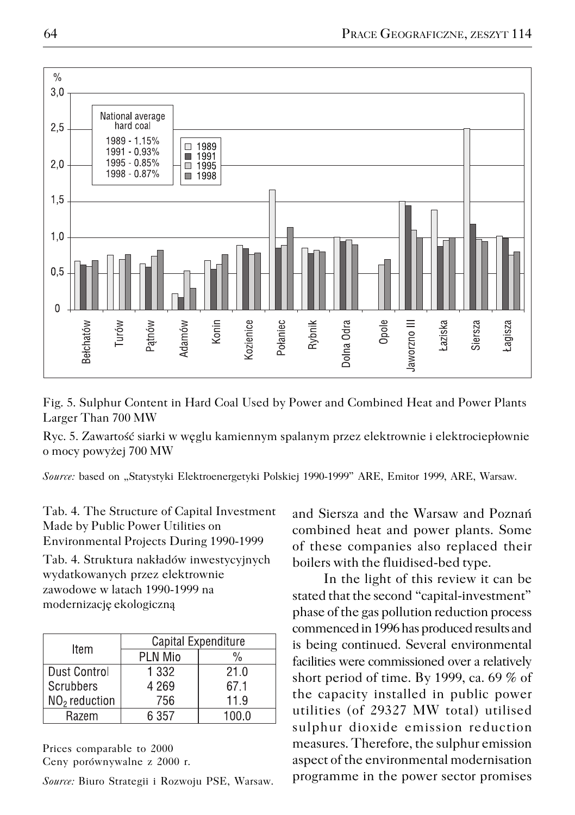

Fig. 5. Sulphur Content in Hard Coal Used by Power and Combined Heat and Power Plants Larger Than 700 MW

Ryc. 5. Zawartość siarki w węglu kamiennym spalanym przez elektrownie i elektrociepłownie o mocy powyżej 700 MW

*Source:* based on "Statystyki Elektroenergetyki Polskiej 1990−1999" ARE, Emitor 1999, ARE, Warsaw.

Tab. 4. The Structure of Capital Investment Made by Public Power Utilities on Environmental Projects During 1990−1999

Tab. 4. Struktura nakładów inwestycyjnych wydatkowanych przez elektrownie zawodowe w latach 1990−1999 na modernizację ekologiczną

| Item                      | Capital Expenditure |               |  |  |
|---------------------------|---------------------|---------------|--|--|
|                           | <b>PLN Mio</b>      | $\frac{0}{0}$ |  |  |
| Dust Control              | 1 332               | 21.0          |  |  |
| l Scrubbers               | 4 2 6 9             | 671           |  |  |
| NO <sub>2</sub> reduction | 756                 | 11.9          |  |  |
| Razem                     | 6 357               | 1በበ በ         |  |  |

Prices comparable to 2000 Ceny porównywalne z 2000 r.

*Source:* Biuro Strategii i Rozwoju PSE, Warsaw.

and Siersza and the Warsaw and Poznań combined heat and power plants. Some of these companies also replaced their boilers with the fluidised−bed type.

In the light of this review it can be stated that the second "capital−investment" phase of the gas pollution reduction process commenced in 1996 has produced results and is being continued. Several environmental facilities were commissioned over a relatively short period of time. By 1999, ca. 69 % of the capacity installed in public power utilities (of 29327 MW total) utilised sulphur dioxide emission reduction measures. Therefore, the sulphur emission aspect of the environmental modernisation programme in the power sector promises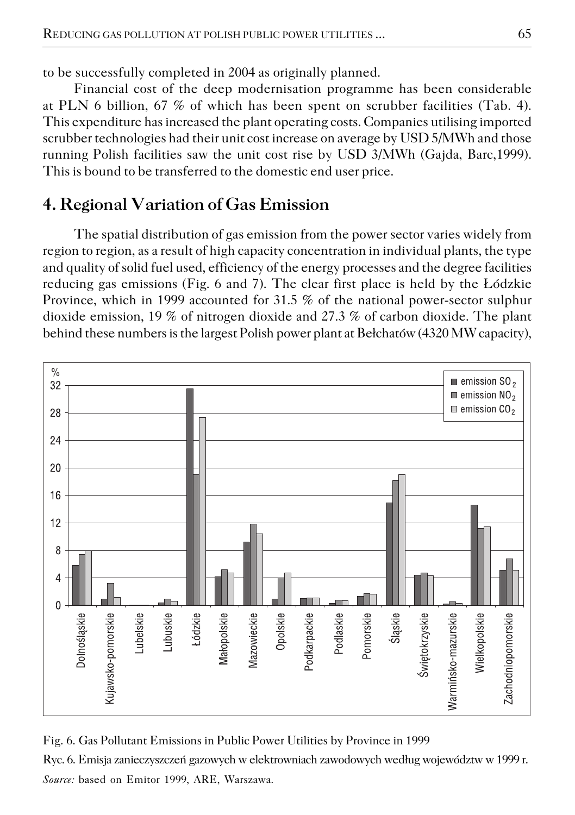to be successfully completed in 2004 as originally planned.

Financial cost of the deep modernisation programme has been considerable at PLN 6 billion, 67 % of which has been spent on scrubber facilities (Tab. 4). This expenditure has increased the plant operating costs. Companies utilising imported scrubber technologies had their unit cost increase on average by USD 5/MWh and those running Polish facilities saw the unit cost rise by USD 3/MWh (Gajda, Barc,1999). This is bound to be transferred to the domestic end user price.

# **4. Regional Variation of Gas Emission**

The spatial distribution of gas emission from the power sector varies widely from region to region, as a result of high capacity concentration in individual plants, the type and quality of solid fuel used, efficiency of the energy processes and the degree facilities reducing gas emissions (Fig. 6 and 7). The clear first place is held by the Łódzkie Province, which in 1999 accounted for 31.5 % of the national power−sector sulphur dioxide emission, 19 % of nitrogen dioxide and 27.3 % of carbon dioxide. The plant behind these numbers is the largest Polish power plant at Bełchatów (4320 MW capacity),



Fig. 6. Gas Pollutant Emissions in Public Power Utilities by Province in 1999 Ryc. 6. Emisja zanieczyszczeń gazowych w elektrowniach zawodowych według województw w 1999 r. *Source:* based on Emitor 1999, ARE, Warszawa.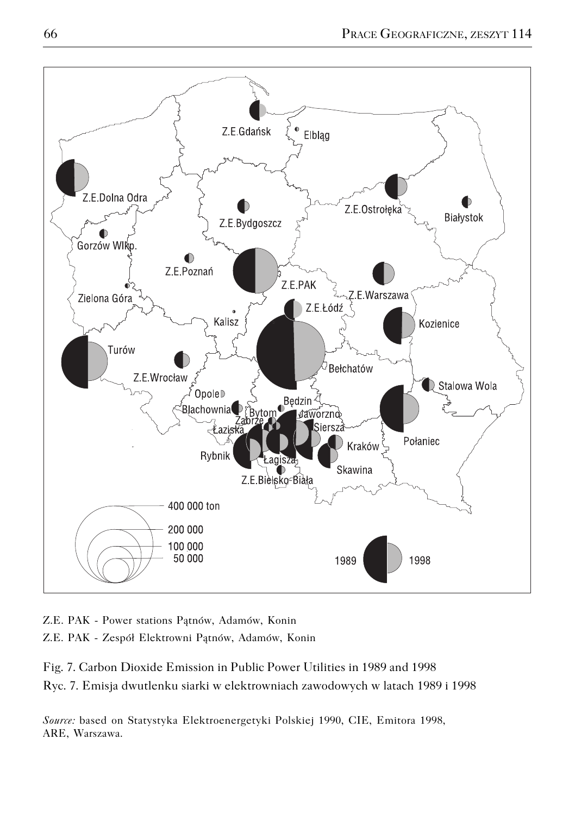

Z.E. PAK − Power stations Pątnów, Adamów, Konin Z.E. PAK − Zespół Elektrowni Pątnów, Adamów, Konin

Fig. 7. Carbon Dioxide Emission in Public Power Utilities in 1989 and 1998 Ryc. 7. Emisja dwutlenku siarki w elektrowniach zawodowych w latach 1989 i 1998

*Source:* based on Statystyka Elektroenergetyki Polskiej 1990, CIE, Emitora 1998, ARE, Warszawa.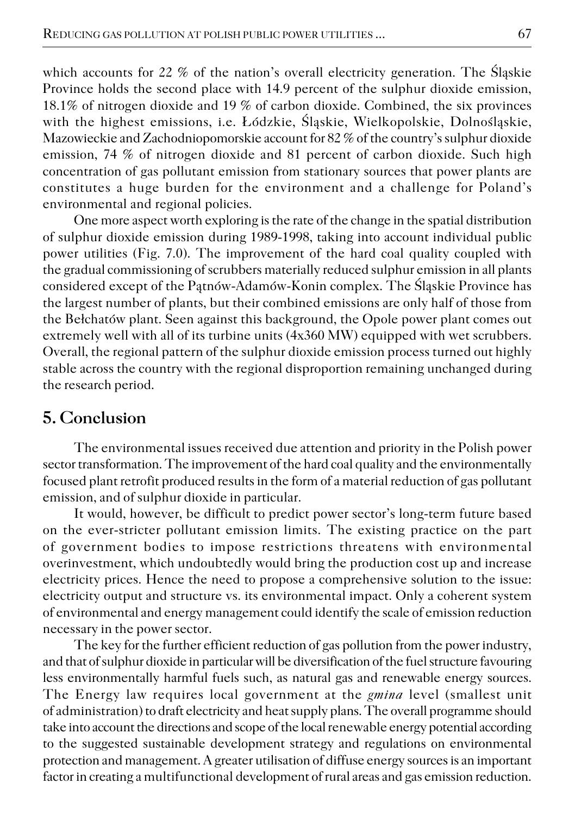which accounts for 22 % of the nation's overall electricity generation. The Śląskie Province holds the second place with 14.9 percent of the sulphur dioxide emission, 18.1% of nitrogen dioxide and 19 % of carbon dioxide. Combined, the six provinces with the highest emissions, i.e. Łódzkie, Śląskie, Wielkopolskie, Dolnośląskie, Mazowieckie and Zachodniopomorskie account for 82 % of the country's sulphur dioxide emission, 74 % of nitrogen dioxide and 81 percent of carbon dioxide. Such high concentration of gas pollutant emission from stationary sources that power plants are constitutes a huge burden for the environment and a challenge for Poland's environmental and regional policies.

One more aspect worth exploring is the rate of the change in the spatial distribution of sulphur dioxide emission during 1989−1998, taking into account individual public power utilities (Fig. 7.0). The improvement of the hard coal quality coupled with the gradual commissioning of scrubbers materially reduced sulphur emission in all plants considered except of the Pątnów−Adamów−Konin complex. The Śląskie Province has the largest number of plants, but their combined emissions are only half of those from the Bełchatów plant. Seen against this background, the Opole power plant comes out extremely well with all of its turbine units (4x360 MW) equipped with wet scrubbers. Overall, the regional pattern of the sulphur dioxide emission process turned out highly stable across the country with the regional disproportion remaining unchanged during the research period.

### **5. Conclusion**

The environmental issues received due attention and priority in the Polish power sector transformation. The improvement of the hard coal quality and the environmentally focused plant retrofit produced results in the form of a material reduction of gas pollutant emission, and of sulphur dioxide in particular.

It would, however, be difficult to predict power sector's long−term future based on the ever−stricter pollutant emission limits. The existing practice on the part of government bodies to impose restrictions threatens with environmental overinvestment, which undoubtedly would bring the production cost up and increase electricity prices. Hence the need to propose a comprehensive solution to the issue: electricity output and structure vs. its environmental impact. Only a coherent system of environmental and energy management could identify the scale of emission reduction necessary in the power sector.

The key for the further efficient reduction of gas pollution from the power industry, and that of sulphur dioxide in particular will be diversification of the fuel structure favouring less environmentally harmful fuels such, as natural gas and renewable energy sources. The Energy law requires local government at the *gmina* level (smallest unit of administration) to draft electricity and heat supply plans. The overall programme should take into account the directions and scope of the local renewable energy potential according to the suggested sustainable development strategy and regulations on environmental protection and management. A greater utilisation of diffuse energy sources is an important factor in creating a multifunctional development of rural areas and gas emission reduction.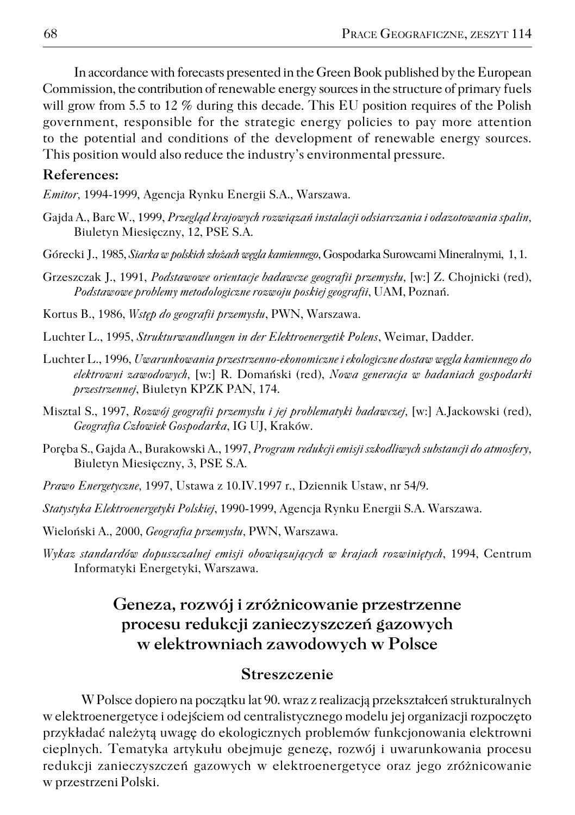In accordance with forecasts presented in the Green Book published by the European Commission, the contribution of renewable energy sources in the structure of primary fuels will grow from 5.5 to 12 % during this decade. This EU position requires of the Polish government, responsible for the strategic energy policies to pay more attention to the potential and conditions of the development of renewable energy sources. This position would also reduce the industry's environmental pressure.

#### **References:**

*Emitor,* 1994−1999, Agencja Rynku Energii S.A., Warszawa.

- Gajda A., Barc W., 1999, *Przegląd krajowych rozwiązań instalacji odsiarczania i odazotowania spalin,* Biuletyn Miesięczny, 12, PSE S.A.
- Górecki J., 1985, *Siarka w polskich złożach węgla kamiennego*, Gospodarka Surowcami Mineralnymi, 1, 1.
- Grzeszczak J., 1991, *Podstawowe orientacje badawcze geografii przemysłu,* [w:] Z. Chojnicki (red), *Podstawowe problemy metodologiczne rozwoju poskiej geografii*, UAM, Poznań.
- Kortus B., 1986, *Wstęp do geografii przemysłu*, PWN, Warszawa.
- Luchter L., 1995, *Strukturwandlungen in der Elektroenergetik Polens*, Weimar, Dadder.
- Luchter L., 1996, *Uwarunkowania przestrzenno−ekonomiczne i ekologiczne dostaw węgla kamiennego do elektrowni zawodowych,* [w:] R. Domański (red), *Nowa generacja w badaniach gospodarki przestrzennej*, Biuletyn KPZK PAN, 174.
- Misztal S., 1997, *Rozwój geografii przemysłu i jej problematyki badawczej,* [w:] A.Jackowski (red), *Geografia Człowiek Gospodarka*, IG UJ, Kraków.
- Poręba S., Gajda A., Burakowski A., 1997, *Program redukcji emisji szkodliwych substancji do atmosfery,* Biuletyn Miesięczny, 3, PSE S.A.
- *Prawo Energetyczne,* 1997, Ustawa z 10.IV.1997 r., Dziennik Ustaw, nr 54/9.
- *Statystyka Elektroenergetyki Polskiej*, 1990−1999, Agencja Rynku Energii S.A. Warszawa.
- Wieloński A., 2000, *Geografia przemysłu,* PWN, Warszawa.
- *Wykaz standardów dopuszczalnej emisji obowiązujących w krajach rozwiniętych*, 1994, Centrum Informatyki Energetyki, Warszawa.

## **Geneza, rozwój i zróżnicowanie przestrzenne procesu redukcji zanieczyszczeń gazowych w elektrowniach zawodowych w Polsce**

#### **Streszczenie**

W Polsce dopiero na początku lat 90. wraz z realizacją przekształceń strukturalnych w elektroenergetyce i odejściem od centralistycznego modelu jej organizacji rozpoczęto przykładać należytą uwagę do ekologicznych problemów funkcjonowania elektrowni cieplnych. Tematyka artykułu obejmuje genezę, rozwój i uwarunkowania procesu redukcji zanieczyszczeń gazowych w elektroenergetyce oraz jego zróżnicowanie w przestrzeni Polski.